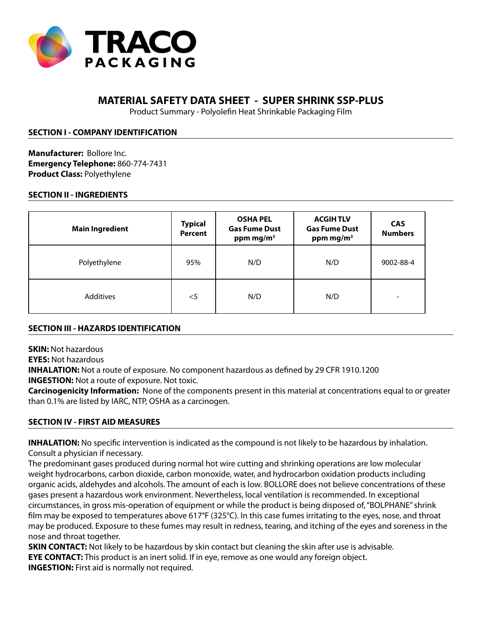

# **MATERIAL SAFETY DATA SHEET - SUPER SHRINK SSP-PLUS**

Product Summary - Polyolefin Heat Shrinkable Packaging Film

### **SECTION I - COMPANY IDENTIFICATION**

**Manufacturer:** Bollore Inc. **Emergency Telephone:** 860-774-7431 **Product Class:** Polyethylene

### **SECTION II - INGREDIENTS**

| <b>Main Ingredient</b> | <b>Typical</b><br><b>Percent</b> | <b>OSHA PEL</b><br><b>Gas Fume Dust</b><br>ppm mg/m <sup>3</sup> | <b>ACGIHTLV</b><br><b>Gas Fume Dust</b><br>ppm mg/m <sup>3</sup> | <b>CAS</b><br><b>Numbers</b> |
|------------------------|----------------------------------|------------------------------------------------------------------|------------------------------------------------------------------|------------------------------|
| Polyethylene           | 95%                              | N/D                                                              | N/D                                                              | 9002-88-4                    |
| Additives              | $<$ 5                            | N/D                                                              | N/D                                                              |                              |

### **SECTION III - HAZARDS IDENTIFICATION**

**SKIN:** Not hazardous

**EYES:** Not hazardous

**INHALATION:** Not a route of exposure. No component hazardous as defined by 29 CFR 1910.1200

**INGESTION:** Not a route of exposure. Not toxic.

**Carcinogenicity Information:** None of the components present in this material at concentrations equal to or greater than 0.1% are listed by IARC, NTP, OSHA as a carcinogen.

### **SECTION IV - FIRST AID MEASURES**

**INHALATION:** No specific intervention is indicated as the compound is not likely to be hazardous by inhalation. Consult a physician if necessary.

The predominant gases produced during normal hot wire cutting and shrinking operations are low molecular weight hydrocarbons, carbon dioxide, carbon monoxide, water, and hydrocarbon oxidation products including organic acids, aldehydes and alcohols. The amount of each is low. BOLLORE does not believe concentrations of these gases present a hazardous work environment. Nevertheless, local ventilation is recommended. In exceptional circumstances, in gross mis-operation of equipment or while the product is being disposed of, "BOLPHANE" shrink film may be exposed to temperatures above 617°F (325°C). In this case fumes irritating to the eyes, nose, and throat may be produced. Exposure to these fumes may result in redness, tearing, and itching of the eyes and soreness in the nose and throat together.

**SKIN CONTACT:** Not likely to be hazardous by skin contact but cleaning the skin after use is advisable. **EYE CONTACT:** This product is an inert solid. If in eye, remove as one would any foreign object. **INGESTION:** First aid is normally not required.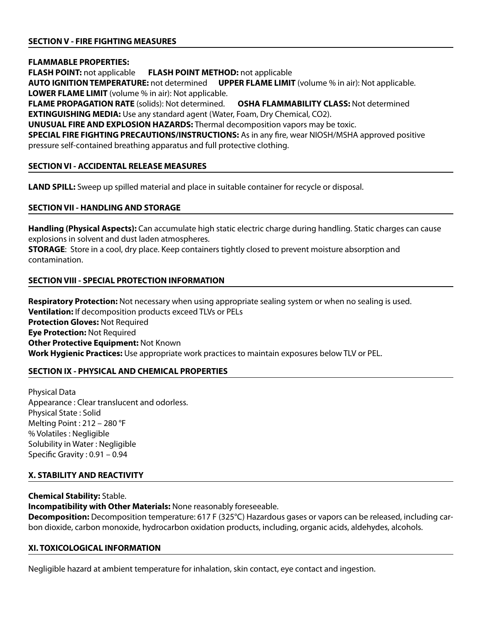# **SECTION V - FIRE FIGHTING MEASURES**

**FLAMMABLE PROPERTIES:**

**FLASH POINT:** not applicable **FLASH POINT METHOD:** not applicable

**AUTO IGNITION TEMPERATURE:** not determined **UPPER FLAME LIMIT** (volume % in air): Not applicable. **LOWER FLAME LIMIT** (volume % in air): Not applicable.

**FLAME PROPAGATION RATE** (solids): Not determined. **OSHA FLAMMABILITY CLASS:** Not determined **EXTINGUISHING MEDIA:** Use any standard agent (Water, Foam, Dry Chemical, CO2).

**UNUSUAL FIRE AND EXPLOSION HAZARDS:** Thermal decomposition vapors may be toxic.

**SPECIAL FIRE FIGHTING PRECAUTIONS/INSTRUCTIONS:** As in any fire, wear NIOSH/MSHA approved positive pressure self-contained breathing apparatus and full protective clothing.

### **SECTION VI - ACCIDENTAL RELEASE MEASURES**

**LAND SPILL:** Sweep up spilled material and place in suitable container for recycle or disposal.

# **SECTION VII - HANDLING AND STORAGE**

**Handling (Physical Aspects):** Can accumulate high static electric charge during handling. Static charges can cause explosions in solvent and dust laden atmospheres.

**STORAGE**: Store in a cool, dry place. Keep containers tightly closed to prevent moisture absorption and contamination.

# **SECTION VIII - SPECIAL PROTECTION INFORMATION**

**Respiratory Protection:** Not necessary when using appropriate sealing system or when no sealing is used. **Ventilation:** If decomposition products exceed TLVs or PELs **Protection Gloves: Not Required Eye Protection:** Not Required **Other Protective Equipment:** Not Known **Work Hygienic Practices:** Use appropriate work practices to maintain exposures below TLV or PEL.

# **SECTION IX - PHYSICAL AND CHEMICAL PROPERTIES**

Physical Data Appearance : Clear translucent and odorless. Physical State : Solid Melting Point : 212 – 280 °F % Volatiles : Negligible Solubility in Water : Negligible Specific Gravity : 0.91 – 0.94

# **X. STABILITY AND REACTIVITY**

### **Chemical Stability:** Stable.

**Incompatibility with Other Materials:** None reasonably foreseeable.

**Decomposition:** Decomposition temperature: 617 F (325°C) Hazardous gases or vapors can be released, including carbon dioxide, carbon monoxide, hydrocarbon oxidation products, including, organic acids, aldehydes, alcohols.

### **XI. TOXICOLOGICAL INFORMATION**

Negligible hazard at ambient temperature for inhalation, skin contact, eye contact and ingestion.